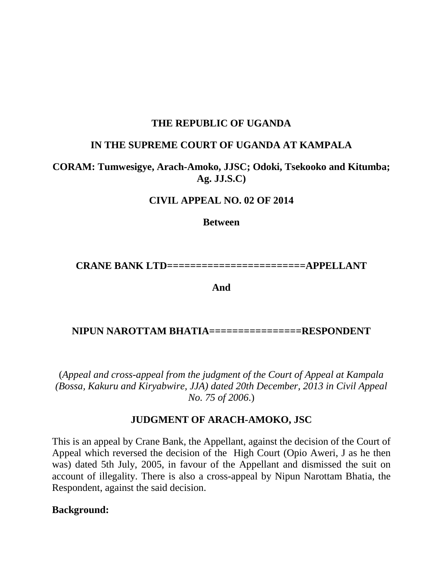#### **THE REPUBLIC OF UGANDA**

#### **IN THE SUPREME COURT OF UGANDA AT KAMPALA**

#### **CORAM: Tumwesigye, Arach-Amoko, JJSC; Odoki, Tsekooko and Kitumba; Ag. JJ.S.C)**

#### **CIVIL APPEAL NO. 02 OF 2014**

**Between**

**CRANE BANK LTD========================APPELLANT**

**And**

**NIPUN NAROTTAM BHATIA================RESPONDENT**

(*Appeal and cross-appeal from the judgment of the Court of Appeal at Kampala (Bossa, Kakuru and Kiryabwire, JJA) dated 20th December, 2013 in Civil Appeal No. 75 of 2006*.)

#### **JUDGMENT OF ARACH-AMOKO, JSC**

This is an appeal by Crane Bank, the Appellant, against the decision of the Court of Appeal which reversed the decision of the High Court (Opio Aweri, J as he then was) dated 5th July, 2005, in favour of the Appellant and dismissed the suit on account of illegality. There is also a cross-appeal by Nipun Narottam Bhatia, the Respondent, against the said decision.

#### **Background:**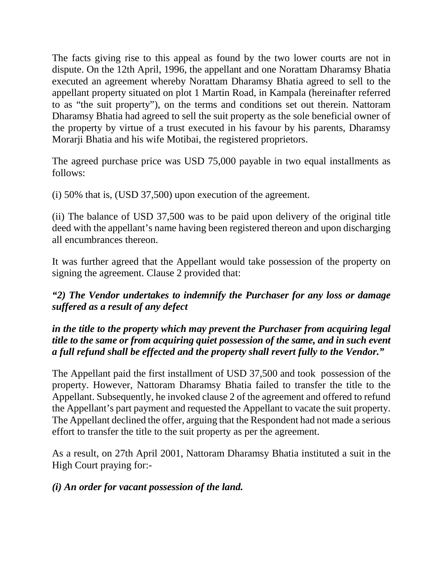The facts giving rise to this appeal as found by the two lower courts are not in dispute. On the 12th April, 1996, the appellant and one Norattam Dharamsy Bhatia executed an agreement whereby Norattam Dharamsy Bhatia agreed to sell to the appellant property situated on plot 1 Martin Road, in Kampala (hereinafter referred to as "the suit property"), on the terms and conditions set out therein. Nattoram Dharamsy Bhatia had agreed to sell the suit property as the sole beneficial owner of the property by virtue of a trust executed in his favour by his parents, Dharamsy Morarji Bhatia and his wife Motibai, the registered proprietors.

The agreed purchase price was USD 75,000 payable in two equal installments as follows:

(i) 50% that is, (USD 37,500) upon execution of the agreement.

(ii) The balance of USD 37,500 was to be paid upon delivery of the original title deed with the appellant's name having been registered thereon and upon discharging all encumbrances thereon.

It was further agreed that the Appellant would take possession of the property on signing the agreement. Clause 2 provided that:

*"2) The Vendor undertakes to indemnify the Purchaser for any loss or damage suffered as a result of any defect* 

#### *in the title to the property which may prevent the Purchaser from acquiring legal title to the same or from acquiring quiet possession of the same, and in such event a full refund shall be effected and the property shall revert fully to the Vendor."*

The Appellant paid the first installment of USD 37,500 and took possession of the property. However, Nattoram Dharamsy Bhatia failed to transfer the title to the Appellant. Subsequently, he invoked clause 2 of the agreement and offered to refund the Appellant's part payment and requested the Appellant to vacate the suit property. The Appellant declined the offer, arguing that the Respondent had not made a serious effort to transfer the title to the suit property as per the agreement.

As a result, on 27th April 2001, Nattoram Dharamsy Bhatia instituted a suit in the High Court praying for:-

### *(i) An order for vacant possession of the land.*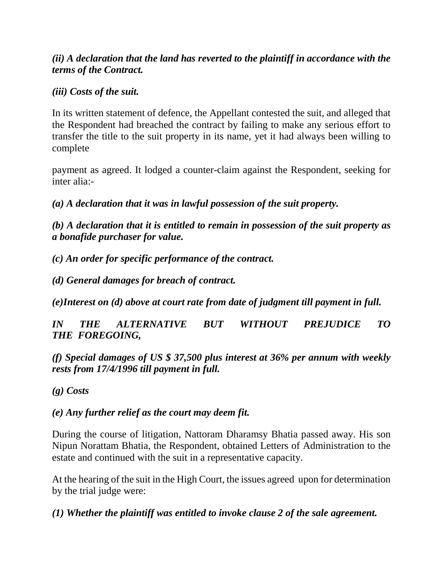### *(ii) A declaration that the land has reverted to the plaintiff in accordance with the terms of the Contract.*

#### *(iii) Costs of the suit.*

In its written statement of defence, the Appellant contested the suit, and alleged that the Respondent had breached the contract by failing to make any serious effort to transfer the title to the suit property in its name, yet it had always been willing to complete

payment as agreed. It lodged a counter-claim against the Respondent, seeking for inter alia:-

*(a) A declaration that it was in lawful possession of the suit property.* 

*(b) A declaration that it is entitled to remain in possession of the suit property as a bonafide purchaser for value.* 

*(c) An order for specific performance of the contract.* 

*(d) General damages for breach of contract.* 

*(e)Interest on (d) above at court rate from date of judgment till payment in full.* 

*IN THE ALTERNATIVE BUT WITHOUT PREJUDICE TO THE FOREGOING,* 

*(f) Special damages of US \$ 37,500 plus interest at 36% per annum with weekly rests from 17/4/1996 till payment in full.* 

*(g) Costs* 

### *(e) Any further relief as the court may deem fit.*

During the course of litigation, Nattoram Dharamsy Bhatia passed away. His son Nipun Norattam Bhatia, the Respondent, obtained Letters of Administration to the estate and continued with the suit in a representative capacity.

At the hearing of the suit in the High Court, the issues agreed upon for determination by the trial judge were:

*(1) Whether the plaintiff was entitled to invoke clause 2 of the sale agreement.*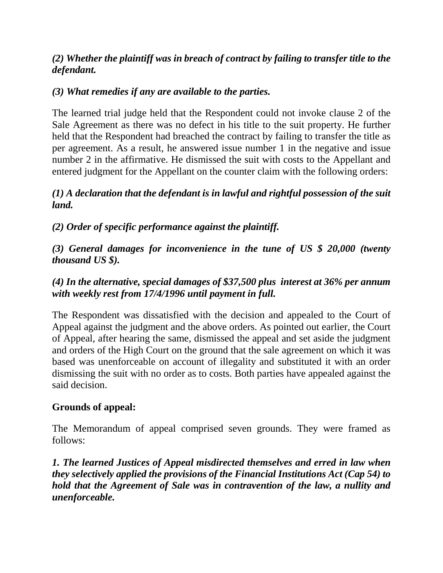### *(2) Whether the plaintiff was in breach of contract by failing to transfer title to the defendant.*

### *(3) What remedies if any are available to the parties.*

The learned trial judge held that the Respondent could not invoke clause 2 of the Sale Agreement as there was no defect in his title to the suit property. He further held that the Respondent had breached the contract by failing to transfer the title as per agreement. As a result, he answered issue number 1 in the negative and issue number 2 in the affirmative. He dismissed the suit with costs to the Appellant and entered judgment for the Appellant on the counter claim with the following orders:

### *(1) A declaration that the defendant is in lawful and rightful possession of the suit land.*

*(2) Order of specific performance against the plaintiff.* 

*(3) General damages for inconvenience in the tune of US \$ 20,000 (twenty thousand US \$).* 

### *(4) In the alternative, special damages of \$37,500 plus interest at 36% per annum with weekly rest from 17/4/1996 until payment in full.*

The Respondent was dissatisfied with the decision and appealed to the Court of Appeal against the judgment and the above orders. As pointed out earlier, the Court of Appeal, after hearing the same, dismissed the appeal and set aside the judgment and orders of the High Court on the ground that the sale agreement on which it was based was unenforceable on account of illegality and substituted it with an order dismissing the suit with no order as to costs. Both parties have appealed against the said decision.

### **Grounds of appeal:**

The Memorandum of appeal comprised seven grounds. They were framed as follows:

*1. The learned Justices of Appeal misdirected themselves and erred in law when they selectively applied the provisions of the Financial Institutions Act (Cap 54) to hold that the Agreement of Sale was in contravention of the law, a nullity and unenforceable.*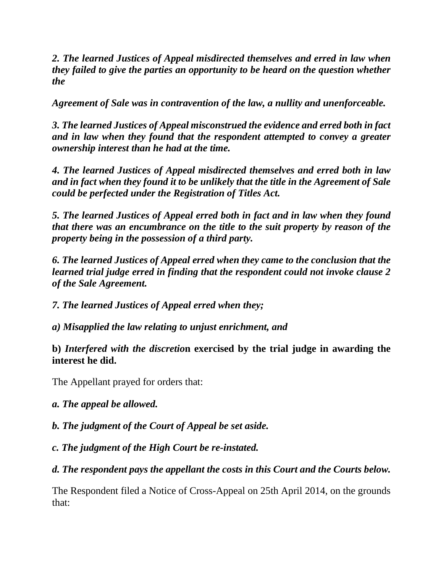*2. The learned Justices of Appeal misdirected themselves and erred in law when they failed to give the parties an opportunity to be heard on the question whether the* 

*Agreement of Sale was in contravention of the law, a nullity and unenforceable.* 

*3. The learned Justices of Appeal misconstrued the evidence and erred both in fact and in law when they found that the respondent attempted to convey a greater ownership interest than he had at the time.* 

*4. The learned Justices of Appeal misdirected themselves and erred both in law and in fact when they found it to be unlikely that the title in the Agreement of Sale could be perfected under the Registration of Titles Act.* 

*5. The learned Justices of Appeal erred both in fact and in law when they found that there was an encumbrance on the title to the suit property by reason of the property being in the possession of a third party.* 

*6. The learned Justices of Appeal erred when they came to the conclusion that the learned trial judge erred in finding that the respondent could not invoke clause 2 of the Sale Agreement.* 

*7. The learned Justices of Appeal erred when they;* 

*a) Misapplied the law relating to unjust enrichment, and* 

**b)** *Interfered with the discretio***n exercised by the trial judge in awarding the interest he did.** 

The Appellant prayed for orders that:

*a. The appeal be allowed.* 

*b. The judgment of the Court of Appeal be set aside.* 

*c. The judgment of the High Court be re-instated.* 

*d. The respondent pays the appellant the costs in this Court and the Courts below.* 

The Respondent filed a Notice of Cross-Appeal on 25th April 2014, on the grounds that: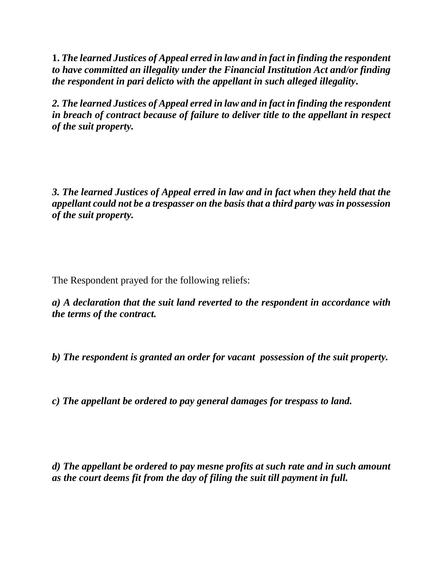**1.** *The learned Justices of Appeal erred in law and in fact in finding the respondent to have committed an illegality under the Financial Institution Act and/or finding the respondent in pari delicto with the appellant in such alleged illegality***.** 

*2. The learned Justices of Appeal erred in law and in fact in finding the respondent in breach of contract because of failure to deliver title to the appellant in respect of the suit property.* 

*3. The learned Justices of Appeal erred in law and in fact when they held that the appellant could not be a trespasser on the basis that a third party was in possession of the suit property.* 

The Respondent prayed for the following reliefs:

*a) A declaration that the suit land reverted to the respondent in accordance with the terms of the contract.* 

*b) The respondent is granted an order for vacant possession of the suit property.* 

*c) The appellant be ordered to pay general damages for trespass to land.* 

*d) The appellant be ordered to pay mesne profits at such rate and in such amount as the court deems fit from the day of filing the suit till payment in full.*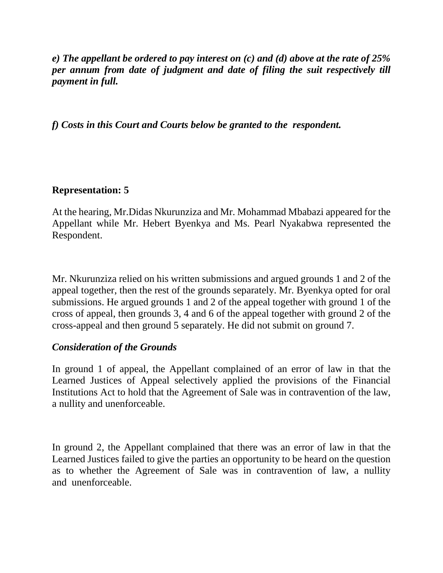*e) The appellant be ordered to pay interest on (c) and (d) above at the rate of 25% per annum from date of judgment and date of filing the suit respectively till payment in full.* 

*f) Costs in this Court and Courts below be granted to the respondent.* 

### **Representation: 5**

At the hearing, Mr.Didas Nkurunziza and Mr. Mohammad Mbabazi appeared for the Appellant while Mr. Hebert Byenkya and Ms. Pearl Nyakabwa represented the Respondent.

Mr. Nkurunziza relied on his written submissions and argued grounds 1 and 2 of the appeal together, then the rest of the grounds separately. Mr. Byenkya opted for oral submissions. He argued grounds 1 and 2 of the appeal together with ground 1 of the cross of appeal, then grounds 3, 4 and 6 of the appeal together with ground 2 of the cross-appeal and then ground 5 separately. He did not submit on ground 7.

#### *Consideration of the Grounds*

In ground 1 of appeal, the Appellant complained of an error of law in that the Learned Justices of Appeal selectively applied the provisions of the Financial Institutions Act to hold that the Agreement of Sale was in contravention of the law, a nullity and unenforceable.

In ground 2, the Appellant complained that there was an error of law in that the Learned Justices failed to give the parties an opportunity to be heard on the question as to whether the Agreement of Sale was in contravention of law, a nullity and unenforceable.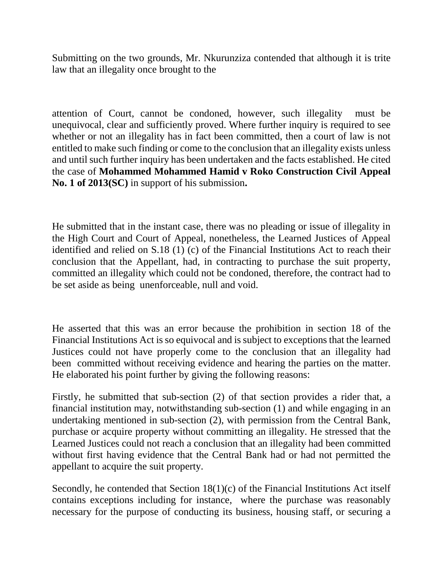Submitting on the two grounds, Mr. Nkurunziza contended that although it is trite law that an illegality once brought to the

attention of Court, cannot be condoned, however, such illegality must be unequivocal, clear and sufficiently proved. Where further inquiry is required to see whether or not an illegality has in fact been committed, then a court of law is not entitled to make such finding or come to the conclusion that an illegality exists unless and until such further inquiry has been undertaken and the facts established. He cited the case of **Mohammed Mohammed Hamid v Roko Construction Civil Appeal No. 1 of 2013(SC)** in support of his submission**.** 

He submitted that in the instant case, there was no pleading or issue of illegality in the High Court and Court of Appeal, nonetheless, the Learned Justices of Appeal identified and relied on S.18 (1) (c) of the Financial Institutions Act to reach their conclusion that the Appellant, had, in contracting to purchase the suit property, committed an illegality which could not be condoned, therefore, the contract had to be set aside as being unenforceable, null and void.

He asserted that this was an error because the prohibition in section 18 of the Financial Institutions Act is so equivocal and is subject to exceptions that the learned Justices could not have properly come to the conclusion that an illegality had been committed without receiving evidence and hearing the parties on the matter. He elaborated his point further by giving the following reasons:

Firstly, he submitted that sub-section (2) of that section provides a rider that, a financial institution may, notwithstanding sub-section (1) and while engaging in an undertaking mentioned in sub-section (2), with permission from the Central Bank, purchase or acquire property without committing an illegality. He stressed that the Learned Justices could not reach a conclusion that an illegality had been committed without first having evidence that the Central Bank had or had not permitted the appellant to acquire the suit property.

Secondly, he contended that Section 18(1)(c) of the Financial Institutions Act itself contains exceptions including for instance, where the purchase was reasonably necessary for the purpose of conducting its business, housing staff, or securing a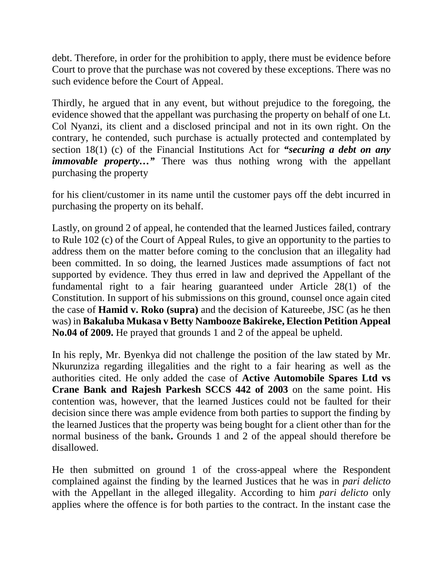debt. Therefore, in order for the prohibition to apply, there must be evidence before Court to prove that the purchase was not covered by these exceptions. There was no such evidence before the Court of Appeal.

Thirdly, he argued that in any event, but without prejudice to the foregoing, the evidence showed that the appellant was purchasing the property on behalf of one Lt. Col Nyanzi, its client and a disclosed principal and not in its own right. On the contrary, he contended, such purchase is actually protected and contemplated by section 18(1) (c) of the Financial Institutions Act for *"securing a debt on any immovable property...*" There was thus nothing wrong with the appellant purchasing the property

for his client/customer in its name until the customer pays off the debt incurred in purchasing the property on its behalf.

Lastly, on ground 2 of appeal, he contended that the learned Justices failed, contrary to Rule 102 (c) of the Court of Appeal Rules, to give an opportunity to the parties to address them on the matter before coming to the conclusion that an illegality had been committed. In so doing, the learned Justices made assumptions of fact not supported by evidence. They thus erred in law and deprived the Appellant of the fundamental right to a fair hearing guaranteed under Article 28(1) of the Constitution. In support of his submissions on this ground, counsel once again cited the case of **Hamid v. Roko (supra)** and the decision of Katureebe, JSC (as he then was) in **Bakaluba Mukasa v Betty Nambooze Bakireke, Election Petition Appeal No.04 of 2009.** He prayed that grounds 1 and 2 of the appeal be upheld.

In his reply, Mr. Byenkya did not challenge the position of the law stated by Mr. Nkurunziza regarding illegalities and the right to a fair hearing as well as the authorities cited. He only added the case of **Active Automobile Spares Ltd vs Crane Bank and Rajesh Parkesh SCCS 442 of 2003** on the same point. His contention was, however, that the learned Justices could not be faulted for their decision since there was ample evidence from both parties to support the finding by the learned Justices that the property was being bought for a client other than for the normal business of the bank**.** Grounds 1 and 2 of the appeal should therefore be disallowed.

He then submitted on ground 1 of the cross-appeal where the Respondent complained against the finding by the learned Justices that he was in *pari delicto*  with the Appellant in the alleged illegality. According to him *pari delicto* only applies where the offence is for both parties to the contract. In the instant case the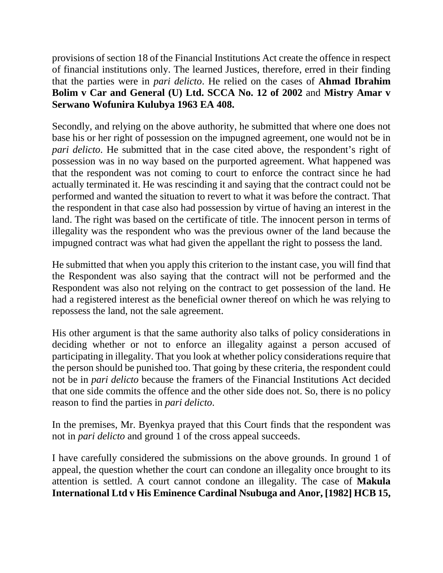provisions of section 18 of the Financial Institutions Act create the offence in respect of financial institutions only. The learned Justices, therefore, erred in their finding that the parties were in *pari delicto*. He relied on the cases of **Ahmad Ibrahim Bolim v Car and General (U) Ltd. SCCA No. 12 of 2002** and **Mistry Amar v Serwano Wofunira Kulubya 1963 EA 408.** 

Secondly, and relying on the above authority, he submitted that where one does not base his or her right of possession on the impugned agreement, one would not be in *pari delicto*. He submitted that in the case cited above, the respondent's right of possession was in no way based on the purported agreement. What happened was that the respondent was not coming to court to enforce the contract since he had actually terminated it. He was rescinding it and saying that the contract could not be performed and wanted the situation to revert to what it was before the contract. That the respondent in that case also had possession by virtue of having an interest in the land. The right was based on the certificate of title. The innocent person in terms of illegality was the respondent who was the previous owner of the land because the impugned contract was what had given the appellant the right to possess the land.

He submitted that when you apply this criterion to the instant case, you will find that the Respondent was also saying that the contract will not be performed and the Respondent was also not relying on the contract to get possession of the land. He had a registered interest as the beneficial owner thereof on which he was relying to repossess the land, not the sale agreement.

His other argument is that the same authority also talks of policy considerations in deciding whether or not to enforce an illegality against a person accused of participating in illegality. That you look at whether policy considerations require that the person should be punished too. That going by these criteria, the respondent could not be in *pari delicto* because the framers of the Financial Institutions Act decided that one side commits the offence and the other side does not. So, there is no policy reason to find the parties in *pari delicto*.

In the premises, Mr. Byenkya prayed that this Court finds that the respondent was not in *pari delicto* and ground 1 of the cross appeal succeeds.

I have carefully considered the submissions on the above grounds. In ground 1 of appeal, the question whether the court can condone an illegality once brought to its attention is settled. A court cannot condone an illegality. The case of **Makula International Ltd v His Eminence Cardinal Nsubuga and Anor, [1982] HCB 15,**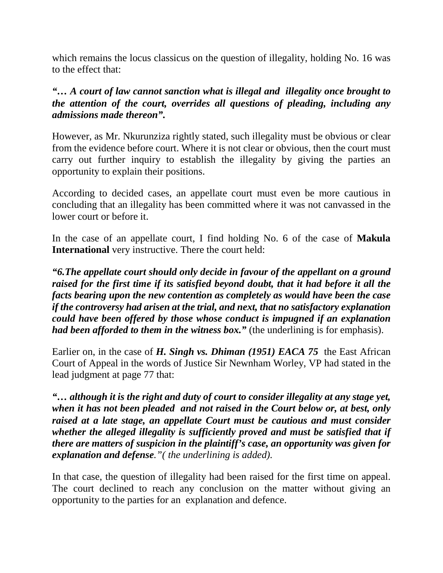which remains the locus classicus on the question of illegality, holding No. 16 was to the effect that:

*"… A court of law cannot sanction what is illegal and illegality once brought to the attention of the court, overrides all questions of pleading, including any admissions made thereon".* 

However, as Mr. Nkurunziza rightly stated, such illegality must be obvious or clear from the evidence before court. Where it is not clear or obvious, then the court must carry out further inquiry to establish the illegality by giving the parties an opportunity to explain their positions.

According to decided cases, an appellate court must even be more cautious in concluding that an illegality has been committed where it was not canvassed in the lower court or before it.

In the case of an appellate court, I find holding No. 6 of the case of **Makula International** very instructive. There the court held:

*"6.The appellate court should only decide in favour of the appellant on a ground raised for the first time if its satisfied beyond doubt, that it had before it all the facts bearing upon the new contention as completely as would have been the case if the controversy had arisen at the trial, and next, that no satisfactory explanation could have been offered by those whose conduct is impugned if an explanation had been afforded to them in the witness box.*" (the underlining is for emphasis).

Earlier on, in the case of *H. Singh vs. Dhiman (1951) EACA 75* the East African Court of Appeal in the words of Justice Sir Newnham Worley, VP had stated in the lead judgment at page 77 that:

*"… although it is the right and duty of court to consider illegality at any stage yet, when it has not been pleaded and not raised in the Court below or, at best, only raised at a late stage, an appellate Court must be cautious and must consider whether the alleged illegality is sufficiently proved and must be satisfied that if there are matters of suspicion in the plaintiff's case, an opportunity was given for explanation and defense."( the underlining is added).* 

In that case, the question of illegality had been raised for the first time on appeal. The court declined to reach any conclusion on the matter without giving an opportunity to the parties for an explanation and defence.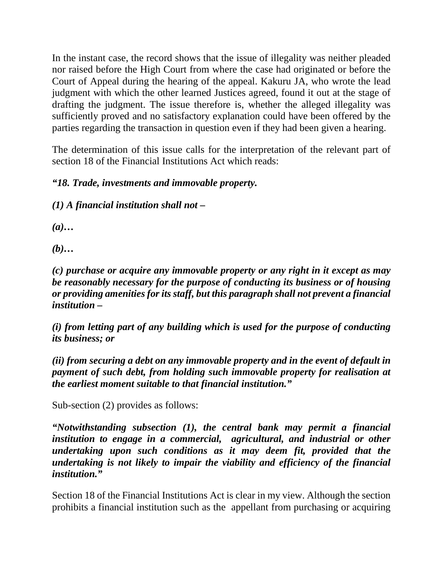In the instant case, the record shows that the issue of illegality was neither pleaded nor raised before the High Court from where the case had originated or before the Court of Appeal during the hearing of the appeal. Kakuru JA, who wrote the lead judgment with which the other learned Justices agreed, found it out at the stage of drafting the judgment. The issue therefore is, whether the alleged illegality was sufficiently proved and no satisfactory explanation could have been offered by the parties regarding the transaction in question even if they had been given a hearing.

The determination of this issue calls for the interpretation of the relevant part of section 18 of the Financial Institutions Act which reads:

## *"18. Trade, investments and immovable property.*

*(1) A financial institution shall not –*

*(a)…* 

*(b)…* 

*(c) purchase or acquire any immovable property or any right in it except as may be reasonably necessary for the purpose of conducting its business or of housing or providing amenities for its staff, but this paragraph shall not prevent a financial institution –*

*(i) from letting part of any building which is used for the purpose of conducting its business; or* 

*(ii) from securing a debt on any immovable property and in the event of default in payment of such debt, from holding such immovable property for realisation at the earliest moment suitable to that financial institution."* 

Sub-section (2) provides as follows:

*"Notwithstanding subsection (1), the central bank may permit a financial institution to engage in a commercial, agricultural, and industrial or other undertaking upon such conditions as it may deem fit, provided that the undertaking is not likely to impair the viability and efficiency of the financial institution."* 

Section 18 of the Financial Institutions Act is clear in my view. Although the section prohibits a financial institution such as the appellant from purchasing or acquiring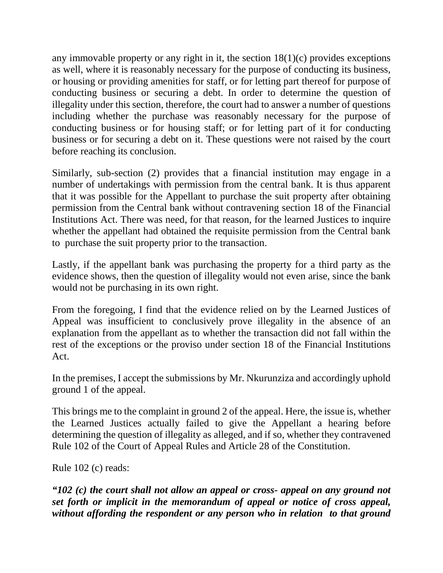any immovable property or any right in it, the section 18(1)(c) provides exceptions as well, where it is reasonably necessary for the purpose of conducting its business, or housing or providing amenities for staff, or for letting part thereof for purpose of conducting business or securing a debt. In order to determine the question of illegality under this section, therefore, the court had to answer a number of questions including whether the purchase was reasonably necessary for the purpose of conducting business or for housing staff; or for letting part of it for conducting business or for securing a debt on it. These questions were not raised by the court before reaching its conclusion.

Similarly, sub-section (2) provides that a financial institution may engage in a number of undertakings with permission from the central bank. It is thus apparent that it was possible for the Appellant to purchase the suit property after obtaining permission from the Central bank without contravening section 18 of the Financial Institutions Act. There was need, for that reason, for the learned Justices to inquire whether the appellant had obtained the requisite permission from the Central bank to purchase the suit property prior to the transaction.

Lastly, if the appellant bank was purchasing the property for a third party as the evidence shows, then the question of illegality would not even arise, since the bank would not be purchasing in its own right.

From the foregoing, I find that the evidence relied on by the Learned Justices of Appeal was insufficient to conclusively prove illegality in the absence of an explanation from the appellant as to whether the transaction did not fall within the rest of the exceptions or the proviso under section 18 of the Financial Institutions Act.

In the premises, I accept the submissions by Mr. Nkurunziza and accordingly uphold ground 1 of the appeal.

This brings me to the complaint in ground 2 of the appeal. Here, the issue is, whether the Learned Justices actually failed to give the Appellant a hearing before determining the question of illegality as alleged, and if so, whether they contravened Rule 102 of the Court of Appeal Rules and Article 28 of the Constitution.

Rule 102 (c) reads:

*"102 (c) the court shall not allow an appeal or cross- appeal on any ground not set forth or implicit in the memorandum of appeal or notice of cross appeal, without affording the respondent or any person who in relation to that ground*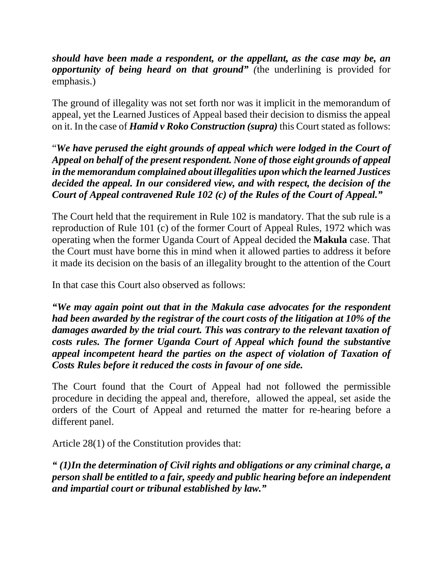*should have been made a respondent, or the appellant, as the case may be, an opportunity of being heard on that ground"* (the underlining is provided for emphasis.)

The ground of illegality was not set forth nor was it implicit in the memorandum of appeal, yet the Learned Justices of Appeal based their decision to dismiss the appeal on it. In the case of *Hamid v Roko Construction (supra)* this Court stated as follows:

"*We have perused the eight grounds of appeal which were lodged in the Court of Appeal on behalf of the present respondent. None of those eight grounds of appeal in the memorandum complained about illegalities upon which the learned Justices decided the appeal. In our considered view, and with respect, the decision of the Court of Appeal contravened Rule 102 (c) of the Rules of the Court of Appeal."* 

The Court held that the requirement in Rule 102 is mandatory. That the sub rule is a reproduction of Rule 101 (c) of the former Court of Appeal Rules, 1972 which was operating when the former Uganda Court of Appeal decided the **Makula** case. That the Court must have borne this in mind when it allowed parties to address it before it made its decision on the basis of an illegality brought to the attention of the Court

In that case this Court also observed as follows:

*"We may again point out that in the Makula case advocates for the respondent had been awarded by the registrar of the court costs of the litigation at 10% of the damages awarded by the trial court. This was contrary to the relevant taxation of costs rules. The former Uganda Court of Appeal which found the substantive appeal incompetent heard the parties on the aspect of violation of Taxation of Costs Rules before it reduced the costs in favour of one side.*

The Court found that the Court of Appeal had not followed the permissible procedure in deciding the appeal and, therefore, allowed the appeal, set aside the orders of the Court of Appeal and returned the matter for re-hearing before a different panel.

Article 28(1) of the Constitution provides that:

*" (1)In the determination of Civil rights and obligations or any criminal charge, a person shall be entitled to a fair, speedy and public hearing before an independent and impartial court or tribunal established by law."*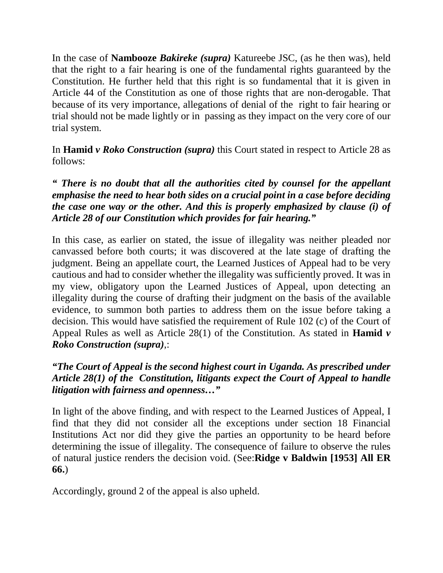In the case of **Nambooze** *Bakireke (supra)* Katureebe JSC, (as he then was), held that the right to a fair hearing is one of the fundamental rights guaranteed by the Constitution. He further held that this right is so fundamental that it is given in Article 44 of the Constitution as one of those rights that are non-derogable. That because of its very importance, allegations of denial of the right to fair hearing or trial should not be made lightly or in passing as they impact on the very core of our trial system.

In **Hamid** *v Roko Construction (supra)* this Court stated in respect to Article 28 as follows:

### *" There is no doubt that all the authorities cited by counsel for the appellant emphasise the need to hear both sides on a crucial point in a case before deciding the case one way or the other. And this is properly emphasized by clause (i) of Article 28 of our Constitution which provides for fair hearing."*

In this case, as earlier on stated, the issue of illegality was neither pleaded nor canvassed before both courts; it was discovered at the late stage of drafting the judgment. Being an appellate court, the Learned Justices of Appeal had to be very cautious and had to consider whether the illegality was sufficiently proved. It was in my view, obligatory upon the Learned Justices of Appeal, upon detecting an illegality during the course of drafting their judgment on the basis of the available evidence, to summon both parties to address them on the issue before taking a decision. This would have satisfied the requirement of Rule 102 (c) of the Court of Appeal Rules as well as Article 28(1) of the Constitution. As stated in **Hamid** *v Roko Construction (supra)*,:

### *"The Court of Appeal is the second highest court in Uganda. As prescribed under Article 28(1) of the Constitution, litigants expect the Court of Appeal to handle litigation with fairness and openness…"*

In light of the above finding, and with respect to the Learned Justices of Appeal, I find that they did not consider all the exceptions under section 18 Financial Institutions Act nor did they give the parties an opportunity to be heard before determining the issue of illegality. The consequence of failure to observe the rules of natural justice renders the decision void. (See:**Ridge v Baldwin [1953] All ER 66.**)

Accordingly, ground 2 of the appeal is also upheld.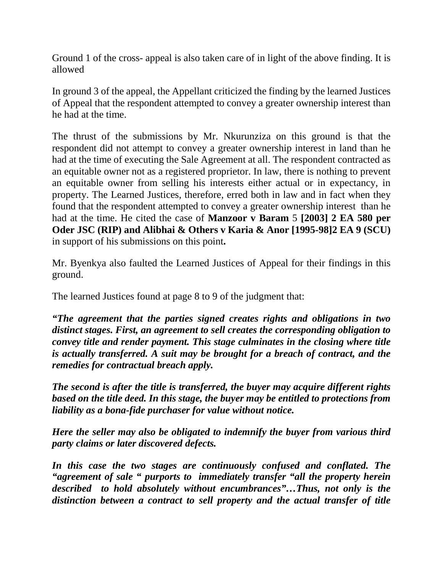Ground 1 of the cross- appeal is also taken care of in light of the above finding. It is allowed

In ground 3 of the appeal, the Appellant criticized the finding by the learned Justices of Appeal that the respondent attempted to convey a greater ownership interest than he had at the time.

The thrust of the submissions by Mr. Nkurunziza on this ground is that the respondent did not attempt to convey a greater ownership interest in land than he had at the time of executing the Sale Agreement at all. The respondent contracted as an equitable owner not as a registered proprietor. In law, there is nothing to prevent an equitable owner from selling his interests either actual or in expectancy, in property. The Learned Justices, therefore, erred both in law and in fact when they found that the respondent attempted to convey a greater ownership interest than he had at the time. He cited the case of **Manzoor v Baram** 5 **[2003] 2 EA 580 per Oder JSC (RIP) and Alibhai & Others v Karia & Anor [1995-98]2 EA 9 (SCU)**  in support of his submissions on this point**.** 

Mr. Byenkya also faulted the Learned Justices of Appeal for their findings in this ground.

The learned Justices found at page 8 to 9 of the judgment that:

*"The agreement that the parties signed creates rights and obligations in two distinct stages. First, an agreement to sell creates the corresponding obligation to convey title and render payment. This stage culminates in the closing where title is actually transferred. A suit may be brought for a breach of contract, and the remedies for contractual breach apply.* 

*The second is after the title is transferred, the buyer may acquire different rights based on the title deed. In this stage, the buyer may be entitled to protections from liability as a bona-fide purchaser for value without notice.* 

*Here the seller may also be obligated to indemnify the buyer from various third party claims or later discovered defects.* 

*In this case the two stages are continuously confused and conflated. The "agreement of sale " purports to immediately transfer "all the property herein described to hold absolutely without encumbrances"…Thus, not only is the distinction between a contract to sell property and the actual transfer of title*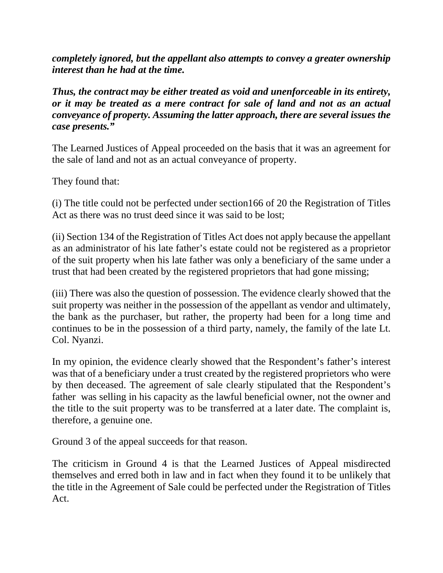*completely ignored, but the appellant also attempts to convey a greater ownership interest than he had at the time.* 

*Thus, the contract may be either treated as void and unenforceable in its entirety, or it may be treated as a mere contract for sale of land and not as an actual conveyance of property. Assuming the latter approach, there are several issues the case presents."* 

The Learned Justices of Appeal proceeded on the basis that it was an agreement for the sale of land and not as an actual conveyance of property.

They found that:

(i) The title could not be perfected under section166 of 20 the Registration of Titles Act as there was no trust deed since it was said to be lost;

(ii) Section 134 of the Registration of Titles Act does not apply because the appellant as an administrator of his late father's estate could not be registered as a proprietor of the suit property when his late father was only a beneficiary of the same under a trust that had been created by the registered proprietors that had gone missing;

(iii) There was also the question of possession. The evidence clearly showed that the suit property was neither in the possession of the appellant as vendor and ultimately, the bank as the purchaser, but rather, the property had been for a long time and continues to be in the possession of a third party, namely, the family of the late Lt. Col. Nyanzi.

In my opinion, the evidence clearly showed that the Respondent's father's interest was that of a beneficiary under a trust created by the registered proprietors who were by then deceased. The agreement of sale clearly stipulated that the Respondent's father was selling in his capacity as the lawful beneficial owner, not the owner and the title to the suit property was to be transferred at a later date. The complaint is, therefore, a genuine one.

Ground 3 of the appeal succeeds for that reason.

The criticism in Ground 4 is that the Learned Justices of Appeal misdirected themselves and erred both in law and in fact when they found it to be unlikely that the title in the Agreement of Sale could be perfected under the Registration of Titles Act.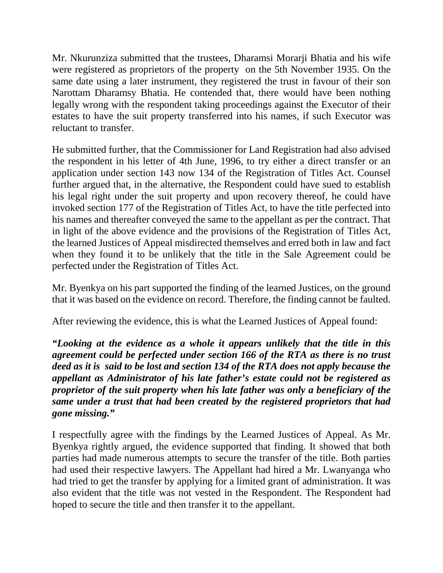Mr. Nkurunziza submitted that the trustees, Dharamsi Morarji Bhatia and his wife were registered as proprietors of the property on the 5th November 1935. On the same date using a later instrument, they registered the trust in favour of their son Narottam Dharamsy Bhatia. He contended that, there would have been nothing legally wrong with the respondent taking proceedings against the Executor of their estates to have the suit property transferred into his names, if such Executor was reluctant to transfer.

He submitted further, that the Commissioner for Land Registration had also advised the respondent in his letter of 4th June, 1996, to try either a direct transfer or an application under section 143 now 134 of the Registration of Titles Act. Counsel further argued that, in the alternative, the Respondent could have sued to establish his legal right under the suit property and upon recovery thereof, he could have invoked section 177 of the Registration of Titles Act, to have the title perfected into his names and thereafter conveyed the same to the appellant as per the contract. That in light of the above evidence and the provisions of the Registration of Titles Act, the learned Justices of Appeal misdirected themselves and erred both in law and fact when they found it to be unlikely that the title in the Sale Agreement could be perfected under the Registration of Titles Act.

Mr. Byenkya on his part supported the finding of the learned Justices, on the ground that it was based on the evidence on record. Therefore, the finding cannot be faulted.

After reviewing the evidence, this is what the Learned Justices of Appeal found:

*"Looking at the evidence as a whole it appears unlikely that the title in this agreement could be perfected under section 166 of the RTA as there is no trust deed as it is said to be lost and section 134 of the RTA does not apply because the appellant as Administrator of his late father's estate could not be registered as proprietor of the suit property when his late father was only a beneficiary of the same under a trust that had been created by the registered proprietors that had gone missing."* 

I respectfully agree with the findings by the Learned Justices of Appeal. As Mr. Byenkya rightly argued, the evidence supported that finding. It showed that both parties had made numerous attempts to secure the transfer of the title. Both parties had used their respective lawyers. The Appellant had hired a Mr. Lwanyanga who had tried to get the transfer by applying for a limited grant of administration. It was also evident that the title was not vested in the Respondent. The Respondent had hoped to secure the title and then transfer it to the appellant.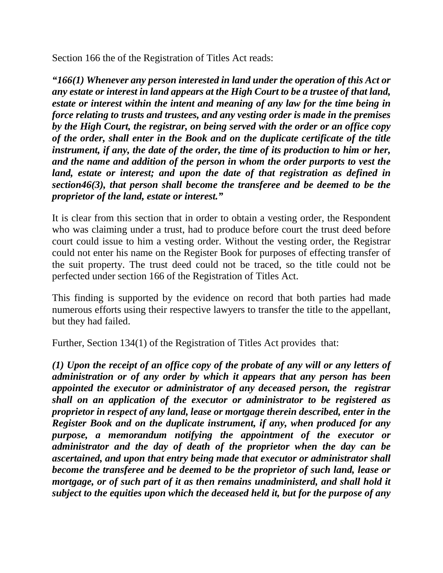Section 166 the of the Registration of Titles Act reads:

*"166(1) Whenever any person interested in land under the operation of this Act or any estate or interest in land appears at the High Court to be a trustee of that land, estate or interest within the intent and meaning of any law for the time being in force relating to trusts and trustees, and any vesting order is made in the premises by the High Court, the registrar, on being served with the order or an office copy of the order, shall enter in the Book and on the duplicate certificate of the title instrument, if any, the date of the order, the time of its production to him or her, and the name and addition of the person in whom the order purports to vest the land, estate or interest; and upon the date of that registration as defined in section46(3), that person shall become the transferee and be deemed to be the proprietor of the land, estate or interest."* 

It is clear from this section that in order to obtain a vesting order, the Respondent who was claiming under a trust, had to produce before court the trust deed before court could issue to him a vesting order. Without the vesting order, the Registrar could not enter his name on the Register Book for purposes of effecting transfer of the suit property. The trust deed could not be traced, so the title could not be perfected under section 166 of the Registration of Titles Act.

This finding is supported by the evidence on record that both parties had made numerous efforts using their respective lawyers to transfer the title to the appellant, but they had failed.

Further, Section 134(1) of the Registration of Titles Act provides that:

*(1) Upon the receipt of an office copy of the probate of any will or any letters of administration or of any order by which it appears that any person has been appointed the executor or administrator of any deceased person, the registrar shall on an application of the executor or administrator to be registered as proprietor in respect of any land, lease or mortgage therein described, enter in the Register Book and on the duplicate instrument, if any, when produced for any purpose, a memorandum notifying the appointment of the executor or administrator and the day of death of the proprietor when the day can be ascertained, and upon that entry being made that executor or administrator shall become the transferee and be deemed to be the proprietor of such land, lease or mortgage, or of such part of it as then remains unadministerd, and shall hold it subject to the equities upon which the deceased held it, but for the purpose of any*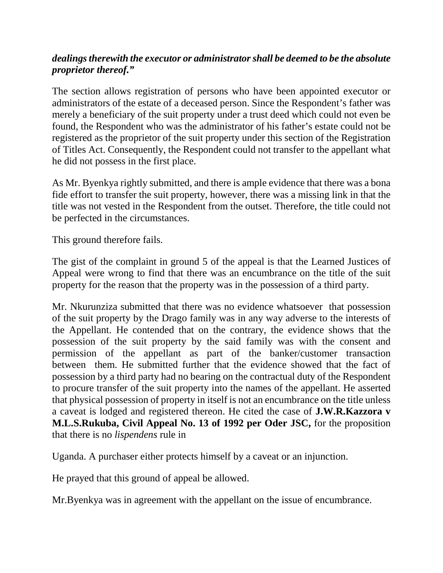### *dealings therewith the executor or administrator shall be deemed to be the absolute proprietor thereof."*

The section allows registration of persons who have been appointed executor or administrators of the estate of a deceased person. Since the Respondent's father was merely a beneficiary of the suit property under a trust deed which could not even be found, the Respondent who was the administrator of his father's estate could not be registered as the proprietor of the suit property under this section of the Registration of Titles Act. Consequently, the Respondent could not transfer to the appellant what he did not possess in the first place.

As Mr. Byenkya rightly submitted, and there is ample evidence that there was a bona fide effort to transfer the suit property, however, there was a missing link in that the title was not vested in the Respondent from the outset. Therefore, the title could not be perfected in the circumstances.

This ground therefore fails.

The gist of the complaint in ground 5 of the appeal is that the Learned Justices of Appeal were wrong to find that there was an encumbrance on the title of the suit property for the reason that the property was in the possession of a third party.

Mr. Nkurunziza submitted that there was no evidence whatsoever that possession of the suit property by the Drago family was in any way adverse to the interests of the Appellant. He contended that on the contrary, the evidence shows that the possession of the suit property by the said family was with the consent and permission of the appellant as part of the banker/customer transaction between them. He submitted further that the evidence showed that the fact of possession by a third party had no bearing on the contractual duty of the Respondent to procure transfer of the suit property into the names of the appellant. He asserted that physical possession of property in itself is not an encumbrance on the title unless a caveat is lodged and registered thereon. He cited the case of **J.W.R.Kazzora v M.L.S.Rukuba, Civil Appeal No. 13 of 1992 per Oder JSC,** for the proposition that there is no *lispendens* rule in

Uganda. A purchaser either protects himself by a caveat or an injunction.

He prayed that this ground of appeal be allowed.

Mr.Byenkya was in agreement with the appellant on the issue of encumbrance.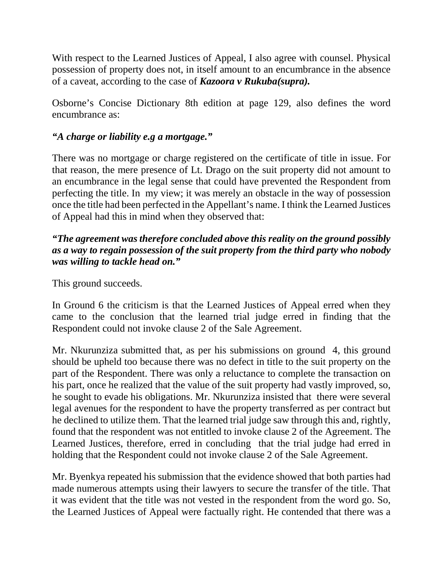With respect to the Learned Justices of Appeal, I also agree with counsel. Physical possession of property does not, in itself amount to an encumbrance in the absence of a caveat, according to the case of *Kazoora v Rukuba(supra).* 

Osborne's Concise Dictionary 8th edition at page 129, also defines the word encumbrance as:

### *"A charge or liability e.g a mortgage."*

There was no mortgage or charge registered on the certificate of title in issue. For that reason, the mere presence of Lt. Drago on the suit property did not amount to an encumbrance in the legal sense that could have prevented the Respondent from perfecting the title. In my view; it was merely an obstacle in the way of possession once the title had been perfected in the Appellant's name. I think the Learned Justices of Appeal had this in mind when they observed that:

#### *"The agreement was therefore concluded above this reality on the ground possibly as a way to regain possession of the suit property from the third party who nobody was willing to tackle head on."*

This ground succeeds.

In Ground 6 the criticism is that the Learned Justices of Appeal erred when they came to the conclusion that the learned trial judge erred in finding that the Respondent could not invoke clause 2 of the Sale Agreement.

Mr. Nkurunziza submitted that, as per his submissions on ground 4, this ground should be upheld too because there was no defect in title to the suit property on the part of the Respondent. There was only a reluctance to complete the transaction on his part, once he realized that the value of the suit property had vastly improved, so, he sought to evade his obligations. Mr. Nkurunziza insisted that there were several legal avenues for the respondent to have the property transferred as per contract but he declined to utilize them. That the learned trial judge saw through this and, rightly, found that the respondent was not entitled to invoke clause 2 of the Agreement. The Learned Justices, therefore, erred in concluding that the trial judge had erred in holding that the Respondent could not invoke clause 2 of the Sale Agreement.

Mr. Byenkya repeated his submission that the evidence showed that both parties had made numerous attempts using their lawyers to secure the transfer of the title. That it was evident that the title was not vested in the respondent from the word go. So, the Learned Justices of Appeal were factually right. He contended that there was a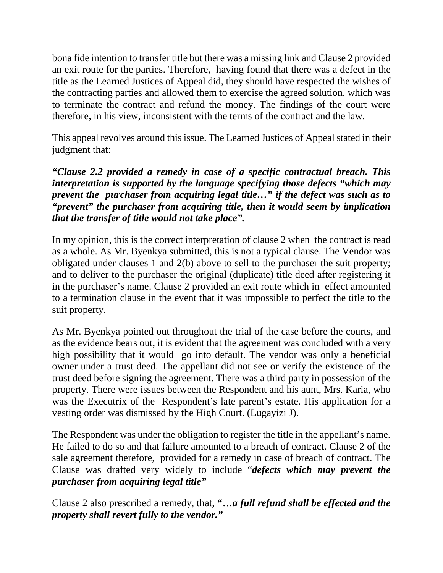bona fide intention to transfer title but there was a missing link and Clause 2 provided an exit route for the parties. Therefore, having found that there was a defect in the title as the Learned Justices of Appeal did, they should have respected the wishes of the contracting parties and allowed them to exercise the agreed solution, which was to terminate the contract and refund the money. The findings of the court were therefore, in his view, inconsistent with the terms of the contract and the law.

This appeal revolves around this issue. The Learned Justices of Appeal stated in their judgment that:

*"Clause 2.2 provided a remedy in case of a specific contractual breach. This interpretation is supported by the language specifying those defects "which may prevent the purchaser from acquiring legal title…" if the defect was such as to "prevent" the purchaser from acquiring title, then it would seem by implication that the transfer of title would not take place".* 

In my opinion, this is the correct interpretation of clause 2 when the contract is read as a whole. As Mr. Byenkya submitted, this is not a typical clause. The Vendor was obligated under clauses 1 and 2(b) above to sell to the purchaser the suit property; and to deliver to the purchaser the original (duplicate) title deed after registering it in the purchaser's name. Clause 2 provided an exit route which in effect amounted to a termination clause in the event that it was impossible to perfect the title to the suit property.

As Mr. Byenkya pointed out throughout the trial of the case before the courts, and as the evidence bears out, it is evident that the agreement was concluded with a very high possibility that it would go into default. The vendor was only a beneficial owner under a trust deed. The appellant did not see or verify the existence of the trust deed before signing the agreement. There was a third party in possession of the property. There were issues between the Respondent and his aunt, Mrs. Karia, who was the Executrix of the Respondent's late parent's estate. His application for a vesting order was dismissed by the High Court. (Lugayizi J).

The Respondent was under the obligation to register the title in the appellant's name. He failed to do so and that failure amounted to a breach of contract. Clause 2 of the sale agreement therefore, provided for a remedy in case of breach of contract. The Clause was drafted very widely to include "*defects which may prevent the purchaser from acquiring legal title"* 

Clause 2 also prescribed a remedy, that, **"**…*a full refund shall be effected and the property shall revert fully to the vendor."*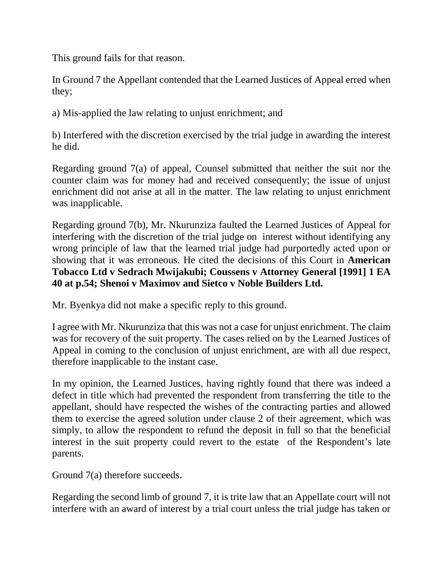This ground fails for that reason.

In Ground 7 the Appellant contended that the Learned Justices of Appeal erred when they;

a) Mis-applied the law relating to unjust enrichment; and

b) Interfered with the discretion exercised by the trial judge in awarding the interest he did.

Regarding ground 7(a) of appeal, Counsel submitted that neither the suit nor the counter claim was for money had and received consequently; the issue of unjust enrichment did not arise at all in the matter. The law relating to unjust enrichment was inapplicable.

Regarding ground 7(b), Mr. Nkurunziza faulted the Learned Justices of Appeal for interfering with the discretion of the trial judge on interest without identifying any wrong principle of law that the learned trial judge had purportedly acted upon or showing that it was erroneous. He cited the decisions of this Court in **American Tobacco Ltd v Sedrach Mwijakubi; Coussens v Attorney General [1991] 1 EA 40 at p.54; Shenoi v Maximov and Sietco v Noble Builders Ltd.** 

Mr. Byenkya did not make a specific reply to this ground.

I agree with Mr. Nkurunziza that this was not a case for unjust enrichment. The claim was for recovery of the suit property. The cases relied on by the Learned Justices of Appeal in coming to the conclusion of unjust enrichment, are with all due respect, therefore inapplicable to the instant case.

In my opinion, the Learned Justices, having rightly found that there was indeed a defect in title which had prevented the respondent from transferring the title to the appellant, should have respected the wishes of the contracting parties and allowed them to exercise the agreed solution under clause 2 of their agreement, which was simply, to allow the respondent to refund the deposit in full so that the beneficial interest in the suit property could revert to the estate of the Respondent's late parents.

Ground 7(a) therefore succeeds.

Regarding the second limb of ground 7, it is trite law that an Appellate court will not interfere with an award of interest by a trial court unless the trial judge has taken or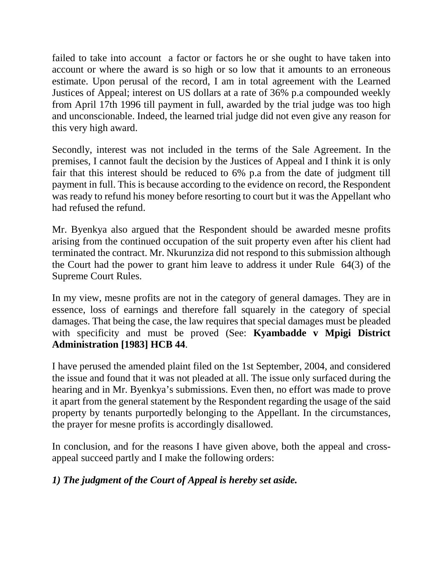failed to take into account a factor or factors he or she ought to have taken into account or where the award is so high or so low that it amounts to an erroneous estimate. Upon perusal of the record, I am in total agreement with the Learned Justices of Appeal; interest on US dollars at a rate of 36% p.a compounded weekly from April 17th 1996 till payment in full, awarded by the trial judge was too high and unconscionable. Indeed, the learned trial judge did not even give any reason for this very high award.

Secondly, interest was not included in the terms of the Sale Agreement. In the premises, I cannot fault the decision by the Justices of Appeal and I think it is only fair that this interest should be reduced to 6% p.a from the date of judgment till payment in full. This is because according to the evidence on record, the Respondent was ready to refund his money before resorting to court but it was the Appellant who had refused the refund.

Mr. Byenkya also argued that the Respondent should be awarded mesne profits arising from the continued occupation of the suit property even after his client had terminated the contract. Mr. Nkurunziza did not respond to this submission although the Court had the power to grant him leave to address it under Rule 64(3) of the Supreme Court Rules.

In my view, mesne profits are not in the category of general damages. They are in essence, loss of earnings and therefore fall squarely in the category of special damages. That being the case, the law requires that special damages must be pleaded with specificity and must be proved (See: **Kyambadde v Mpigi District Administration [1983] HCB 44**.

I have perused the amended plaint filed on the 1st September, 2004, and considered the issue and found that it was not pleaded at all. The issue only surfaced during the hearing and in Mr. Byenkya's submissions. Even then, no effort was made to prove it apart from the general statement by the Respondent regarding the usage of the said property by tenants purportedly belonging to the Appellant. In the circumstances, the prayer for mesne profits is accordingly disallowed.

In conclusion, and for the reasons I have given above, both the appeal and crossappeal succeed partly and I make the following orders:

## *1) The judgment of the Court of Appeal is hereby set aside.*